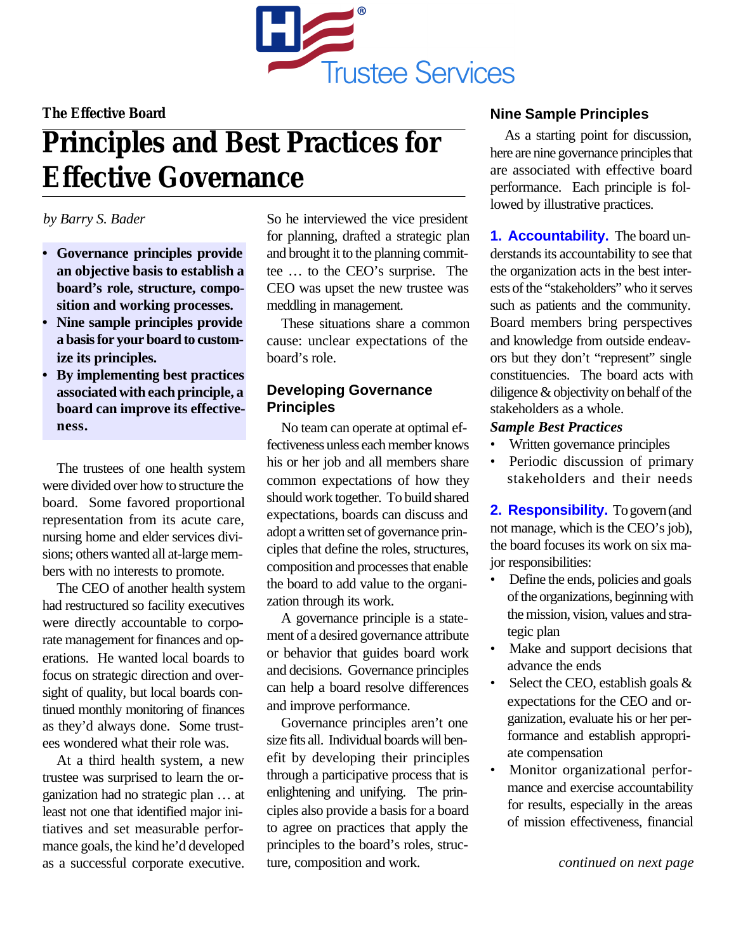

## **The Effective Board**

# **Principles and Best Practices for Effective Governance**

## *by Barry S. Bader*

- **• Governance principles provide an objective basis to establish a board's role, structure, composition and working processes.**
- **• Nine sample principles provide a basis for your board to customize its principles.**
- **• By implementing best practices associated with each principle, a board can improve its effectiveness.**

The trustees of one health system were divided over how to structure the board. Some favored proportional representation from its acute care, nursing home and elder services divisions; others wanted all at-large members with no interests to promote.

The CEO of another health system had restructured so facility executives were directly accountable to corporate management for finances and operations. He wanted local boards to focus on strategic direction and oversight of quality, but local boards continued monthly monitoring of finances as they'd always done. Some trustees wondered what their role was.

At a third health system, a new trustee was surprised to learn the organization had no strategic plan … at least not one that identified major initiatives and set measurable performance goals, the kind he'd developed as a successful corporate executive. So he interviewed the vice president for planning, drafted a strategic plan and brought it to the planning committee … to the CEO's surprise. The CEO was upset the new trustee was meddling in management.

These situations share a common cause: unclear expectations of the board's role.

# **Developing Governance Principles**

No team can operate at optimal effectiveness unless each member knows his or her job and all members share common expectations of how they should work together. To build shared expectations, boards can discuss and adopt a written set of governance principles that define the roles, structures, composition and processes that enable the board to add value to the organization through its work.

A governance principle is a statement of a desired governance attribute or behavior that guides board work and decisions. Governance principles can help a board resolve differences and improve performance.

Governance principles aren't one size fits all. Individual boards will benefit by developing their principles through a participative process that is enlightening and unifying. The principles also provide a basis for a board to agree on practices that apply the principles to the board's roles, structure, composition and work.

# **Nine Sample Principles**

As a starting point for discussion, here are nine governance principles that are associated with effective board performance. Each principle is followed by illustrative practices.

**1. Accountability.** The board understands its accountability to see that the organization acts in the best interests of the "stakeholders" who it serves such as patients and the community. Board members bring perspectives and knowledge from outside endeavors but they don't "represent" single constituencies. The board acts with diligence & objectivity on behalf of the stakeholders as a whole.

## *Sample Best Practices*

- Written governance principles
- Periodic discussion of primary stakeholders and their needs

**2. Responsibility.** To govern (and not manage, which is the CEO's job), the board focuses its work on six major responsibilities:

- Define the ends, policies and goals of the organizations, beginning with the mission, vision, values and strategic plan
- Make and support decisions that advance the ends
- Select the CEO, establish goals & expectations for the CEO and organization, evaluate his or her performance and establish appropriate compensation
- Monitor organizational performance and exercise accountability for results, especially in the areas of mission effectiveness, financial

*continued on next page*